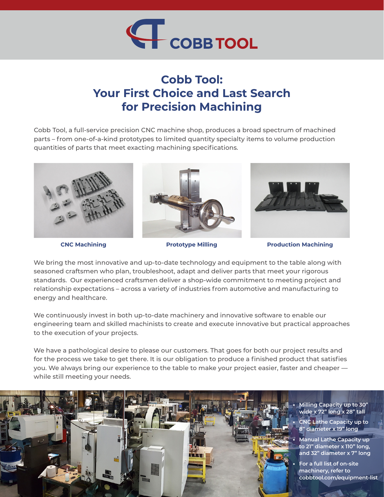

## **Cobb Tool: Your First Choice and Last Search for Precision Machining**

Cobb Tool, a full-service precision CNC machine shop, produces a broad spectrum of machined parts – from one-of-a-kind prototypes to limited quantity specialty items to volume production quantities of parts that meet exacting machining specifications.



**CNC Machining Prototype Milling Production Machining**

We bring the most innovative and up-to-date technology and equipment to the table along with seasoned craftsmen who plan, troubleshoot, adapt and deliver parts that meet your rigorous standards. Our experienced craftsmen deliver a shop-wide commitment to meeting project and relationship expectations – across a variety of industries from automotive and manufacturing to energy and healthcare.

We continuously invest in both up-to-date machinery and innovative software to enable our engineering team and skilled machinists to create and execute innovative but practical approaches to the execution of your projects.

We have a pathological desire to please our customers. That goes for both our project results and for the process we take to get there. It is our obligation to produce a finished product that satisfies you. We always bring our experience to the table to make your project easier, faster and cheaper while still meeting your needs.